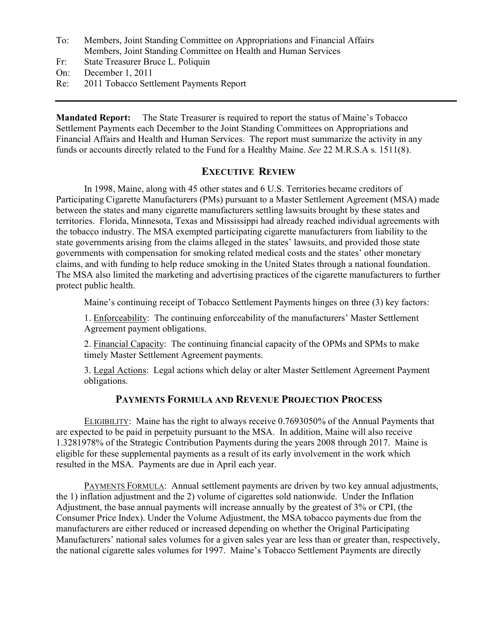- To: Members, Joint Standing Committee on Appropriations and Financial Affairs Members, Joint Standing Committee on Health and Human Services
- Fr: State Treasurer Bruce L. Poliquin
- On: December 1, 2011
- Re: 2011 Tobacco Settlement Payments Report

Mandated Report: The State Treasurer is required to report the status of Maine's Tobacco Settlement Payments each December to the Joint Standing Committees on Appropriations and Financial Affairs and Health and Human Services. The report must summarize the activity in any funds or accounts directly related to the Fund for a Healthy Maine. See 22 M.R.S.A s. 1511(8).

## EXECUTIVE REVIEW

In 1998, Maine, along with 45 other states and 6 U.S. Territories became creditors of Participating Cigarette Manufacturers (PMs) pursuant to a Master Settlement Agreement (MSA) made between the states and many cigarette manufacturers settling lawsuits brought by these states and territories. Florida, Minnesota, Texas and Mississippi had already reached individual agreements with the tobacco industry. The MSA exempted participating cigarette manufacturers from liability to the state governments arising from the claims alleged in the states' lawsuits, and provided those state governments with compensation for smoking related medical costs and the states' other monetary claims, and with funding to help reduce smoking in the United States through a national foundation. The MSA also limited the marketing and advertising practices of the cigarette manufacturers to further protect public health.

Maine's continuing receipt of Tobacco Settlement Payments hinges on three (3) key factors:

1. Enforceability: The continuing enforceability of the manufacturers' Master Settlement Agreement payment obligations.

2. Financial Capacity: The continuing financial capacity of the OPMs and SPMs to make timely Master Settlement Agreement payments.

3. Legal Actions: Legal actions which delay or alter Master Settlement Agreement Payment obligations.

## PAYMENTS FORMULA AND REVENUE PROJECTION PROCESS

ELIGIBILITY: Maine has the right to always receive 0.7693050% of the Annual Payments that are expected to be paid in perpetuity pursuant to the MSA. In addition, Maine will also receive 1.3281978% of the Strategic Contribution Payments during the years 2008 through 2017. Maine is eligible for these supplemental payments as a result of its early involvement in the work which resulted in the MSA. Payments are due in April each year.

PAYMENTS FORMULA: Annual settlement payments are driven by two key annual adjustments, the 1) inflation adjustment and the 2) volume of cigarettes sold nationwide. Under the Inflation Adjustment, the base annual payments will increase annually by the greatest of 3% or CPI, (the Consumer Price Index). Under the Volume Adjustment, the MSA tobacco payments due from the manufacturers are either reduced or increased depending on whether the Original Participating Manufacturers' national sales volumes for a given sales year are less than or greater than, respectively, the national cigarette sales volumes for 1997. Maine's Tobacco Settlement Payments are directly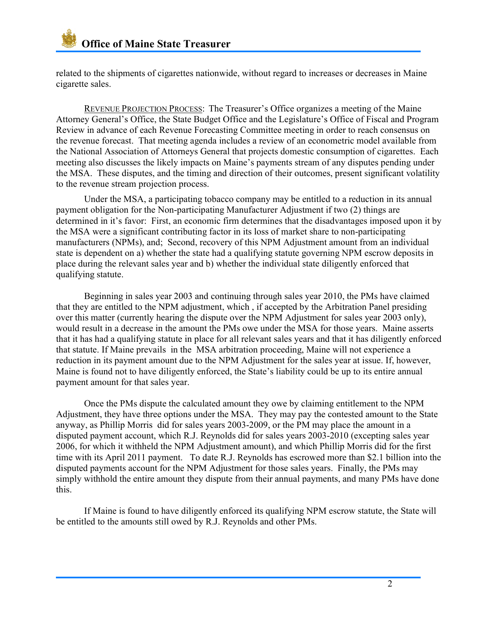related to the shipments of cigarettes nationwide, without regard to increases or decreases in Maine cigarette sales.

REVENUE PROJECTION PROCESS: The Treasurer's Office organizes a meeting of the Maine Attorney General's Office, the State Budget Office and the Legislature's Office of Fiscal and Program Review in advance of each Revenue Forecasting Committee meeting in order to reach consensus on the revenue forecast. That meeting agenda includes a review of an econometric model available from the National Association of Attorneys General that projects domestic consumption of cigarettes. Each meeting also discusses the likely impacts on Maine's payments stream of any disputes pending under the MSA. These disputes, and the timing and direction of their outcomes, present significant volatility to the revenue stream projection process.

Under the MSA, a participating tobacco company may be entitled to a reduction in its annual payment obligation for the Non-participating Manufacturer Adjustment if two (2) things are determined in it's favor: First, an economic firm determines that the disadvantages imposed upon it by the MSA were a significant contributing factor in its loss of market share to non-participating manufacturers (NPMs), and; Second, recovery of this NPM Adjustment amount from an individual state is dependent on a) whether the state had a qualifying statute governing NPM escrow deposits in place during the relevant sales year and b) whether the individual state diligently enforced that qualifying statute.

Beginning in sales year 2003 and continuing through sales year 2010, the PMs have claimed that they are entitled to the NPM adjustment, which , if accepted by the Arbitration Panel presiding over this matter (currently hearing the dispute over the NPM Adjustment for sales year 2003 only), would result in a decrease in the amount the PMs owe under the MSA for those years. Maine asserts that it has had a qualifying statute in place for all relevant sales years and that it has diligently enforced that statute. If Maine prevails in the MSA arbitration proceeding, Maine will not experience a reduction in its payment amount due to the NPM Adjustment for the sales year at issue. If, however, Maine is found not to have diligently enforced, the State's liability could be up to its entire annual payment amount for that sales year.

Once the PMs dispute the calculated amount they owe by claiming entitlement to the NPM Adjustment, they have three options under the MSA. They may pay the contested amount to the State anyway, as Phillip Morris did for sales years 2003-2009, or the PM may place the amount in a disputed payment account, which R.J. Reynolds did for sales years 2003-2010 (excepting sales year 2006, for which it withheld the NPM Adjustment amount), and which Phillip Morris did for the first time with its April 2011 payment. To date R.J. Reynolds has escrowed more than \$2.1 billion into the disputed payments account for the NPM Adjustment for those sales years. Finally, the PMs may simply withhold the entire amount they dispute from their annual payments, and many PMs have done this.

If Maine is found to have diligently enforced its qualifying NPM escrow statute, the State will be entitled to the amounts still owed by R.J. Reynolds and other PMs.